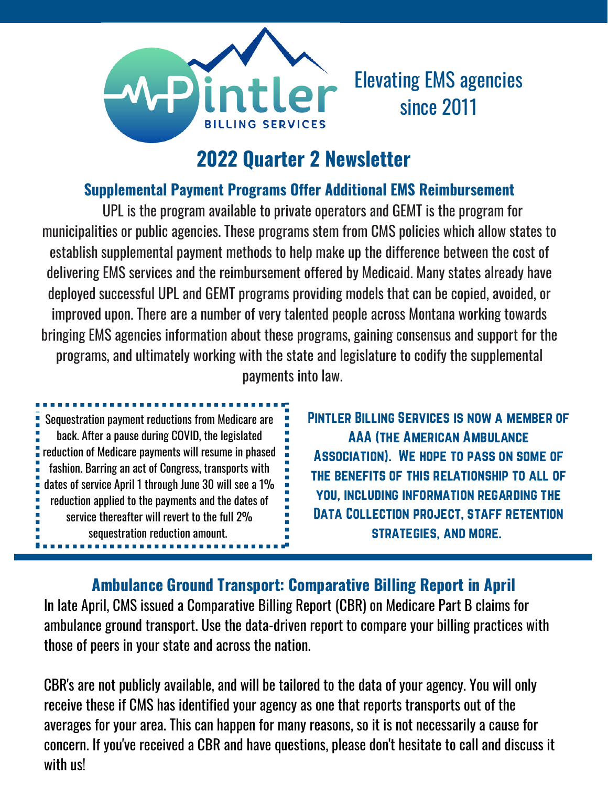

# Elevating EMS agencies since 2011

## **2022 Quarter 2 Newsletter**

### **Supplemental Payment Programs Offer Additional EMS Reimbursement**

UPL is the program available to private operators and GEMT is the program for municipalities or public agencies. These programs stem from CMS policies which allow states to establish supplemental payment methods to help make up the difference between the cost of delivering EMS services and the reimbursement offered by Medicaid. Many states already have deployed successful UPL and GEMT programs providing models that can be copied, avoided, or improved upon. There are a number of very talented people across Montana working towards bringing EMS agencies information about these programs, gaining consensus and support for the programs, and ultimately working with the state and legislature to codify the supplemental payments into law.

Sequestration payment reductions from Medicare are back. After a pause during COVID, the legislated reduction of Medicare payments will resume in phased fashion. Barring an act of Congress, transports with dates of service April 1 through June 30 will see a 1% reduction applied to the payments and the dates of service thereafter will revert to the full 2% sequestration reduction amount.

...............

Pintler Billing Services is now a member of AAA (the American Ambulance Association). We hope to pass on some of the benefits of this relationship to all of you, including information regarding the DATA COLLECTION PROJECT, STAFF RETENTION strategies, and more.

### **Ambulance Ground Transport: Comparative Billing Report in April**

In late April, CMS issued a Comparative Billing Report (CBR) on Medicare Part B claims for ambulance ground transport. Use the data-driven report to compare your billing practices with those of peers in your state and across the nation.

CBR's are not publicly available, and will be tailored to the data of your agency. You will only receive these if CMS has identified your agency as one that reports transports out of the averages for your area. This can happen for many reasons, so it is not necessarily a cause for concern. If you've received a CBR and have questions, please don't hesitate to call and discuss it with us!